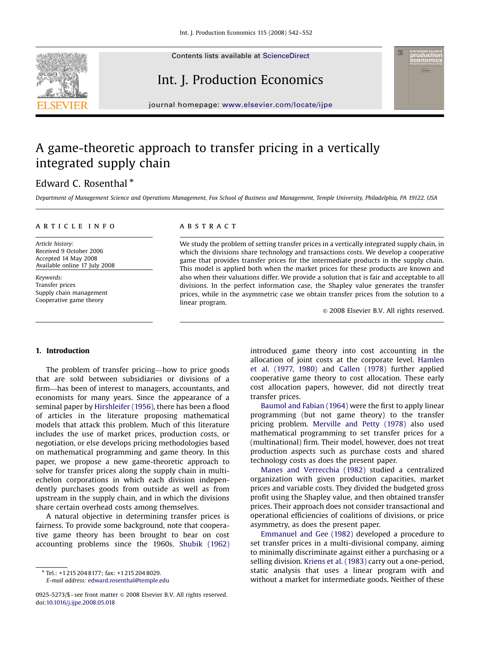Contents lists available at [ScienceDirect](www.sciencedirect.com/science/journal/proeco)



journal homepage: <www.elsevier.com/locate/ijpe>

# A game-theoretic approach to transfer pricing in a vertically integrated supply chain

## Edward C. Rosenthal \*

Department of Management Science and Operations Management, Fox School of Business and Management, Temple University, Philadelphia, PA 19122, USA

### article info

Article history: Received 9 October 2006 Accepted 14 May 2008 Available online 17 July 2008

Keywords: Transfer prices Supply chain management Cooperative game theory

## **ABSTRACT**

We study the problem of setting transfer prices in a vertically integrated supply chain, in which the divisions share technology and transactions costs. We develop a cooperative game that provides transfer prices for the intermediate products in the supply chain. This model is applied both when the market prices for these products are known and also when their valuations differ. We provide a solution that is fair and acceptable to all divisions. In the perfect information case, the Shapley value generates the transfer prices, while in the asymmetric case we obtain transfer prices from the solution to a linear program.

 $\odot$  2008 Elsevier B.V. All rights reserved.

#### 1. Introduction

The problem of transfer pricing—how to price goods that are sold between subsidiaries or divisions of a firm—has been of interest to managers, accountants, and economists for many years. Since the appearance of a seminal paper by [Hirshleifer \(1956\)](#page--1-0), there has been a flood of articles in the literature proposing mathematical models that attack this problem. Much of this literature includes the use of market prices, production costs, or negotiation, or else develops pricing methodologies based on mathematical programming and game theory. In this paper, we propose a new game-theoretic approach to solve for transfer prices along the supply chain in multiechelon corporations in which each division independently purchases goods from outside as well as from upstream in the supply chain, and in which the divisions share certain overhead costs among themselves.

A natural objective in determining transfer prices is fairness. To provide some background, note that cooperative game theory has been brought to bear on cost accounting problems since the 1960s. [Shubik \(1962\)](#page--1-0)

E-mail address: [edward.rosenthal@temple.edu](mailto:edward.rosenthal@temple.edu)

introduced game theory into cost accounting in the allocation of joint costs at the corporate level. [Hamlen](#page--1-0) [et al. \(1977, 1980\)](#page--1-0) and [Callen \(1978\)](#page--1-0) further applied cooperative game theory to cost allocation. These early cost allocation papers, however, did not directly treat transfer prices.

[Baumol and Fabian \(1964\)](#page--1-0) were the first to apply linear programming (but not game theory) to the transfer pricing problem. [Merville and Petty \(1978\)](#page--1-0) also used mathematical programming to set transfer prices for a (multinational) firm. Their model, however, does not treat production aspects such as purchase costs and shared technology costs as does the present paper.

[Manes and Verrecchia \(1982\)](#page--1-0) studied a centralized organization with given production capacities, market prices and variable costs. They divided the budgeted gross profit using the Shapley value, and then obtained transfer prices. Their approach does not consider transactional and operational efficiencies of coalitions of divisions, or price asymmetry, as does the present paper.

[Emmanuel and Gee \(1982\)](#page--1-0) developed a procedure to set transfer prices in a multi-divisional company, aiming to minimally discriminate against either a purchasing or a selling division. [Kriens et al. \(1983\)](#page--1-0) carry out a one-period, static analysis that uses a linear program with and without a market for intermediate goods. Neither of these



<sup>-</sup> Tel.: +1 215 204 8177; fax: +1 215 204 8029.

<sup>0925-5273/\$ -</sup> see front matter  $\circ$  2008 Elsevier B.V. All rights reserved. doi:[10.1016/j.ijpe.2008.05.018](dx.doi.org/10.1016/j.ijpe.2008.05.018)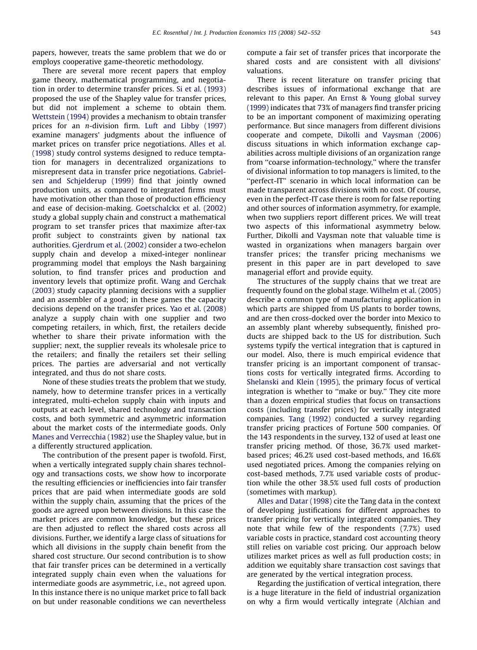papers, however, treats the same problem that we do or employs cooperative game-theoretic methodology.

There are several more recent papers that employ game theory, mathematical programming, and negotiation in order to determine transfer prices. [Si et al. \(1993\)](#page--1-0) proposed the use of the Shapley value for transfer prices, but did not implement a scheme to obtain them. [Wettstein \(1994\)](#page--1-0) provides a mechanism to obtain transfer prices for an n-division firm. [Luft and Libby \(1997\)](#page--1-0) examine managers' judgments about the influence of market prices on transfer price negotiations. [Alles et al.](#page--1-0) [\(1998\)](#page--1-0) study control systems designed to reduce temptation for managers in decentralized organizations to misrepresent data in transfer price negotiations. [Gabriel](#page--1-0)[sen and Schjelderup \(1999\)](#page--1-0) find that jointly owned production units, as compared to integrated firms must have motivation other than those of production efficiency and ease of decision-making. [Goetschalckx et al. \(2002\)](#page--1-0) study a global supply chain and construct a mathematical program to set transfer prices that maximize after-tax profit subject to constraints given by national tax authorities. [Gjerdrum et al. \(2002\)](#page--1-0) consider a two-echelon supply chain and develop a mixed-integer nonlinear programming model that employs the Nash bargaining solution, to find transfer prices and production and inventory levels that optimize profit. [Wang and Gerchak](#page--1-0) [\(2003\)](#page--1-0) study capacity planning decisions with a supplier and an assembler of a good; in these games the capacity decisions depend on the transfer prices. [Yao et al. \(2008\)](#page--1-0) analyze a supply chain with one supplier and two competing retailers, in which, first, the retailers decide whether to share their private information with the supplier; next, the supplier reveals its wholesale price to the retailers; and finally the retailers set their selling prices. The parties are adversarial and not vertically integrated, and thus do not share costs.

None of these studies treats the problem that we study, namely, how to determine transfer prices in a vertically integrated, multi-echelon supply chain with inputs and outputs at each level, shared technology and transaction costs, and both symmetric and asymmetric information about the market costs of the intermediate goods. Only [Manes and Verrecchia \(1982\)](#page--1-0) use the Shapley value, but in a differently structured application.

The contribution of the present paper is twofold. First, when a vertically integrated supply chain shares technology and transactions costs, we show how to incorporate the resulting efficiencies or inefficiencies into fair transfer prices that are paid when intermediate goods are sold within the supply chain, assuming that the prices of the goods are agreed upon between divisions. In this case the market prices are common knowledge, but these prices are then adjusted to reflect the shared costs across all divisions. Further, we identify a large class of situations for which all divisions in the supply chain benefit from the shared cost structure. Our second contribution is to show that fair transfer prices can be determined in a vertically integrated supply chain even when the valuations for intermediate goods are asymmetric, i.e., not agreed upon. In this instance there is no unique market price to fall back on but under reasonable conditions we can nevertheless

compute a fair set of transfer prices that incorporate the shared costs and are consistent with all divisions' valuations.

There is recent literature on transfer pricing that describes issues of informational exchange that are relevant to this paper. An [Ernst & Young global survey](#page--1-0) [\(1999\)](#page--1-0) indicates that 73% of managers find transfer pricing to be an important component of maximizing operating performance. But since managers from different divisions cooperate and compete, [Dikolli and Vaysman \(2006\)](#page--1-0) discuss situations in which information exchange capabilities across multiple divisions of an organization range from ''coarse information-technology,'' where the transfer of divisional information to top managers is limited, to the ''perfect-IT'' scenario in which local information can be made transparent across divisions with no cost. Of course, even in the perfect-IT case there is room for false reporting and other sources of information asymmetry, for example, when two suppliers report different prices. We will treat two aspects of this informational asymmetry below. Further, Dikolli and Vaysman note that valuable time is wasted in organizations when managers bargain over transfer prices; the transfer pricing mechanisms we present in this paper are in part developed to save managerial effort and provide equity.

The structures of the supply chains that we treat are frequently found on the global stage. [Wilhelm et al. \(2005\)](#page--1-0) describe a common type of manufacturing application in which parts are shipped from US plants to border towns, and are then cross-docked over the border into Mexico to an assembly plant whereby subsequently, finished products are shipped back to the US for distribution. Such systems typify the vertical integration that is captured in our model. Also, there is much empirical evidence that transfer pricing is an important component of transactions costs for vertically integrated firms. According to [Shelanski and Klein \(1995\)](#page--1-0), the primary focus of vertical integration is whether to ''make or buy.'' They cite more than a dozen empirical studies that focus on transactions costs (including transfer prices) for vertically integrated companies. [Tang \(1992\)](#page--1-0) conducted a survey regarding transfer pricing practices of Fortune 500 companies. Of the 143 respondents in the survey, 132 of used at least one transfer pricing method. Of those, 36.7% used marketbased prices; 46.2% used cost-based methods, and 16.6% used negotiated prices. Among the companies relying on cost-based methods, 7.7% used variable costs of production while the other 38.5% used full costs of production (sometimes with markup).

[Alles and Datar \(1998\)](#page--1-0) cite the Tang data in the context of developing justifications for different approaches to transfer pricing for vertically integrated companies. They note that while few of the respondents (7.7%) used variable costs in practice, standard cost accounting theory still relies on variable cost pricing. Our approach below utilizes market prices as well as full production costs; in addition we equitably share transaction cost savings that are generated by the vertical integration process.

Regarding the justification of vertical integration, there is a huge literature in the field of industrial organization on why a firm would vertically integrate ([Alchian and](#page--1-0)